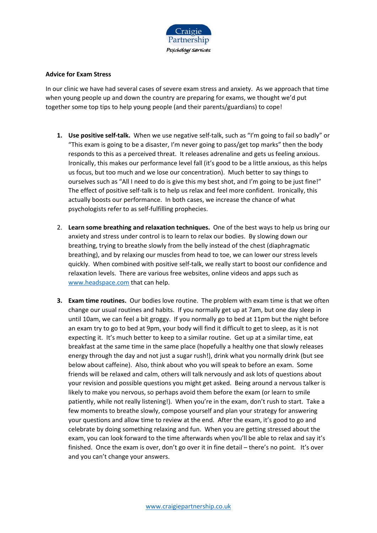

## **Advice for Exam Stress**

In our clinic we have had several cases of severe exam stress and anxiety. As we approach that time when young people up and down the country are preparing for exams, we thought we'd put together some top tips to help young people (and their parents/guardians) to cope!

- **1. Use positive self-talk.** When we use negative self-talk, such as "I'm going to fail so badly" or "This exam is going to be a disaster, I'm never going to pass/get top marks" then the body responds to this as a perceived threat. It releases adrenaline and gets us feeling anxious. Ironically, this makes our performance level fall (it's good to be a little anxious, as this helps us focus, but too much and we lose our concentration). Much better to say things to ourselves such as "All I need to do is give this my best shot, and I'm going to be just fine!" The effect of positive self-talk is to help us relax and feel more confident. Ironically, this actually boosts our performance. In both cases, we increase the chance of what psychologists refer to as self-fulfilling prophecies.
- 2. **Learn some breathing and relaxation techniques.** One of the best ways to help us bring our anxiety and stress under control is to learn to relax our bodies. By slowing down our breathing, trying to breathe slowly from the belly instead of the chest (diaphragmatic breathing), and by relaxing our muscles from head to toe, we can lower our stress levels quickly. When combined with positive self-talk, we really start to boost our confidence and relaxation levels. There are various free websites, online videos and apps such as [www.headspace.com](http://www.headspace.com/) that can help.
- **3. Exam time routines.** Our bodies love routine. The problem with exam time is that we often change our usual routines and habits. If you normally get up at 7am, but one day sleep in until 10am, we can feel a bit groggy. If you normally go to bed at 11pm but the night before an exam try to go to bed at 9pm, your body will find it difficult to get to sleep, as it is not expecting it. It's much better to keep to a similar routine. Get up at a similar time, eat breakfast at the same time in the same place (hopefully a healthy one that slowly releases energy through the day and not just a sugar rush!), drink what you normally drink (but see below about caffeine). Also, think about who you will speak to before an exam. Some friends will be relaxed and calm, others will talk nervously and ask lots of questions about your revision and possible questions you might get asked. Being around a nervous talker is likely to make you nervous, so perhaps avoid them before the exam (or learn to smile patiently, while not really listening!). When you're in the exam, don't rush to start. Take a few moments to breathe slowly, compose yourself and plan your strategy for answering your questions and allow time to review at the end. After the exam, it's good to go and celebrate by doing something relaxing and fun. When you are getting stressed about the exam, you can look forward to the time afterwards when you'll be able to relax and say it's finished. Once the exam is over, don't go over it in fine detail – there's no point. It's over and you can't change your answers.